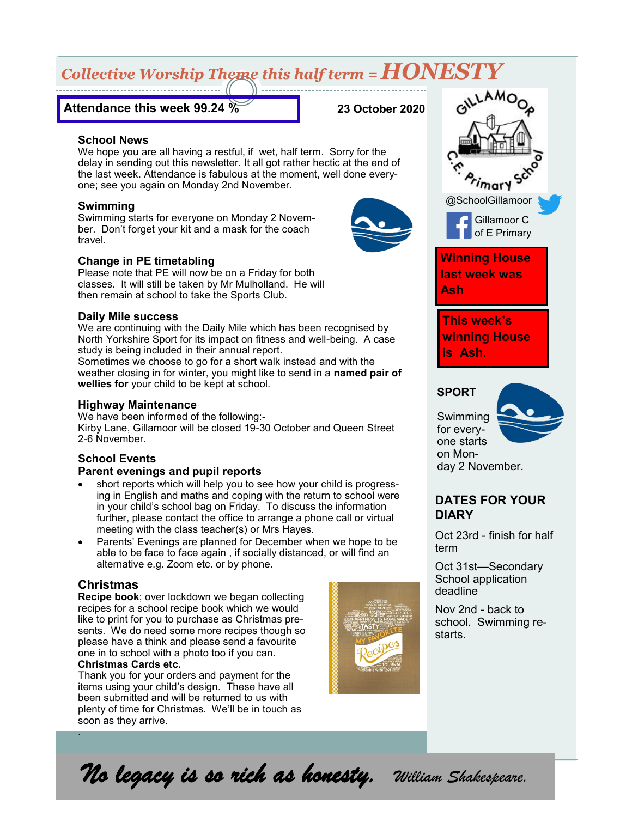## *Collective Worship Theme this half term = HONESTY*

### **Attendance this week 99.24 %**

**23 October 2020**

### **School News**

We hope you are all having a restful, if wet, half term. Sorry for the delay in sending out this newsletter. It all got rather hectic at the end of the last week. Attendance is fabulous at the moment, well done everyone; see you again on Monday 2nd November.

### **Swimming**

Swimming starts for everyone on Monday 2 November. Don't forget your kit and a mask for the coach travel.

### **Change in PE timetabling**

Please note that PE will now be on a Friday for both classes. It will still be taken by Mr Mulholland. He will then remain at school to take the Sports Club.

### **Daily Mile success**

We are continuing with the Daily Mile which has been recognised by North Yorkshire Sport for its impact on fitness and well-being. A case study is being included in their annual report.

Sometimes we choose to go for a short walk instead and with the weather closing in for winter, you might like to send in a **named pair of wellies for** your child to be kept at school.

### **Highway Maintenance**

We have been informed of the following:- Kirby Lane, Gillamoor will be closed 19-30 October and Queen Street 2-6 November.

### **School Events Parent evenings and pupil reports**

- short reports which will help you to see how your child is progressing in English and maths and coping with the return to school were in your child's school bag on Friday. To discuss the information further, please contact the office to arrange a phone call or virtual meeting with the class teacher(s) or Mrs Hayes.
- Parents' Evenings are planned for December when we hope to be able to be face to face again , if socially distanced, or will find an alternative e.g. Zoom etc. or by phone.

### **Christmas**

**Recipe book**; over lockdown we began collecting recipes for a school recipe book which we would like to print for you to purchase as Christmas presents. We do need some more recipes though so please have a think and please send a favourite one in to school with a photo too if you can. **Christmas Cards etc.**

Thank you for your orders and payment for the items using your child's design. These have all been submitted and will be returned to us with plenty of time for Christmas. We'll be in touch as soon as they arrive. .





AMO<sub>O</sub>

**This week's winning House is Ash.**

### **SPORT**

Swimming for everyone starts on Mon-

# day 2 November.

### **DATES FOR YOUR DIARY**

Oct 23rd - finish for half term

Oct 31st—Secondary School application deadline

Nov 2nd - back to school. Swimming restarts.

*No legacy is so rich as honesty. William Shakespeare.*